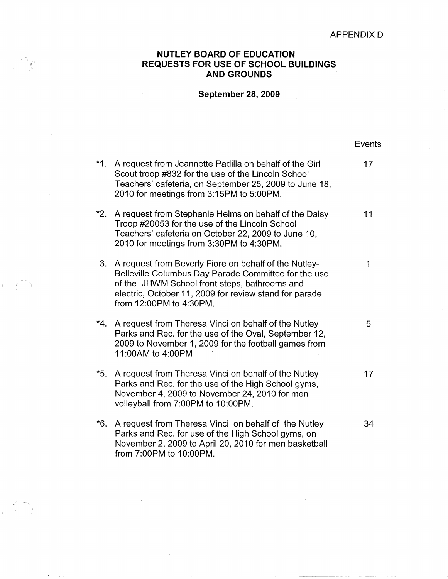## **NUTLEY BOARD OF EDUCATION REQUESTS FOR USE OF SCHOOL BUILDINGS AND GROUNDS**

## **September 28, 2009**

|       |                                                                                                                                                                                                                                                     | <b>Events</b> |
|-------|-----------------------------------------------------------------------------------------------------------------------------------------------------------------------------------------------------------------------------------------------------|---------------|
| $*1.$ | A request from Jeannette Padilla on behalf of the Girl<br>Scout troop #832 for the use of the Lincoln School<br>Teachers' cafeteria, on September 25, 2009 to June 18,<br>2010 for meetings from 3:15PM to 5:00PM.                                  | 17            |
| $*2.$ | A request from Stephanie Helms on behalf of the Daisy<br>Troop #20053 for the use of the Lincoln School<br>Teachers' cafeteria on October 22, 2009 to June 10,<br>2010 for meetings from 3:30PM to 4:30PM.                                          | 11            |
| 3.    | A request from Beverly Fiore on behalf of the Nutley-<br>Belleville Columbus Day Parade Committee for the use<br>of the JHWM School front steps, bathrooms and<br>electric, October 11, 2009 for review stand for parade<br>from 12:00PM to 4:30PM. | 1             |
| $*4.$ | A request from Theresa Vinci on behalf of the Nutley<br>Parks and Rec. for the use of the Oval, September 12,<br>2009 to November 1, 2009 for the football games from<br>11:00AM to 4:00PM                                                          | 5             |
| $*5.$ | A request from Theresa Vinci on behalf of the Nutley<br>Parks and Rec. for the use of the High School gyms,<br>November 4, 2009 to November 24, 2010 for men<br>volleyball from 7:00PM to 10:00PM.                                                  | 17            |
| *6.   | A request from Theresa Vinci on behalf of the Nutley<br>Parks and Rec. for use of the High School gyms, on<br>November 2, 2009 to April 20, 2010 for men basketball<br>from 7:00PM to 10:00PM.                                                      | 34            |

 $-$  (  $\rightarrow$ 

---------- -----~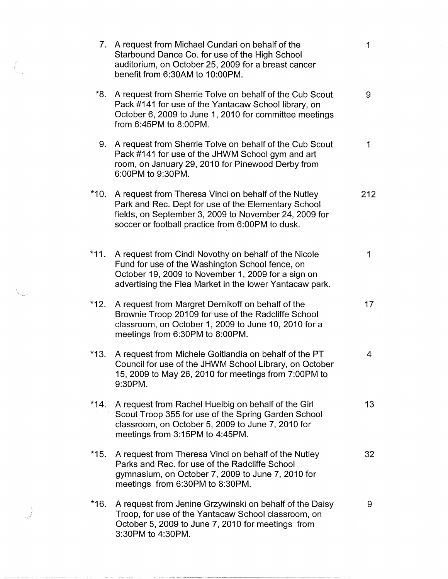| Ç<br>here. |        | 7. A request from Michael Cundari on behalf of the<br>Starbound Dance Co. for use of the High School<br>auditorium, on October 25, 2009 for a breast cancer<br>benefit from 6:30AM to 10:00PM.                           | 1               |
|------------|--------|--------------------------------------------------------------------------------------------------------------------------------------------------------------------------------------------------------------------------|-----------------|
|            | *8.    | A request from Sherrie Tolve on behalf of the Cub Scout<br>Pack #141 for use of the Yantacaw School library, on<br>October 6, 2009 to June 1, 2010 for committee meetings<br>from 6:45PM to 8:00PM.                      | 9               |
|            |        | 9. A request from Sherrie Tolve on behalf of the Cub Scout<br>Pack #141 for use of the JHWM School gym and art<br>room, on January 29, 2010 for Pinewood Derby from<br>6:00PM to 9:30PM.                                 | 1               |
|            | *10.   | A request from Theresa Vinci on behalf of the Nutley<br>Park and Rec. Dept for use of the Elementary School<br>fields, on September 3, 2009 to November 24, 2009 for<br>soccer or football practice from 6:00PM to dusk. | 212             |
|            | $*11.$ | A request from Cindi Novothy on behalf of the Nicole<br>Fund for use of the Washington School fence, on<br>October 19, 2009 to November 1, 2009 for a sign on<br>advertising the Flea Market in the lower Yantacaw park. | 1               |
|            | $*12.$ | A request from Margret Demikoff on behalf of the<br>Brownie Troop 20109 for use of the Radcliffe School<br>classroom, on October 1, 2009 to June 10, 2010 for a<br>meetings from 6:30PM to 8:00PM.                       | 17              |
|            | *13.   | A request from Michele Goitiandia on behalf of the PT<br>Council for use of the JHWM School Library, on October<br>15, 2009 to May 26, 2010 for meetings from 7:00PM to<br>9:30PM.                                       | 4               |
|            |        | *14. A request from Rachel Huelbig on behalf of the Girl<br>Scout Troop 355 for use of the Spring Garden School<br>classroom, on October 5, 2009 to June 7, 2010 for<br>meetings from 3:15PM to 4:45PM.                  | 13 <sup>°</sup> |
|            | *15.   | A request from Theresa Vinci on behalf of the Nutley<br>Parks and Rec. for use of the Radcliffe School<br>gymnasium, on October 7, 2009 to June 7, 2010 for<br>meetings from 6:30PM to 8:30PM.                           | 32              |
|            | $*16.$ | A request from Jenine Grzywinski on behalf of the Daisy<br>Troop, for use of the Yantacaw School classroom, on<br>October 5, 2009 to June 7, 2010 for meetings from<br>3:30PM to 4:30PM.                                 | 9               |

 $\hat{\mathcal{L}}$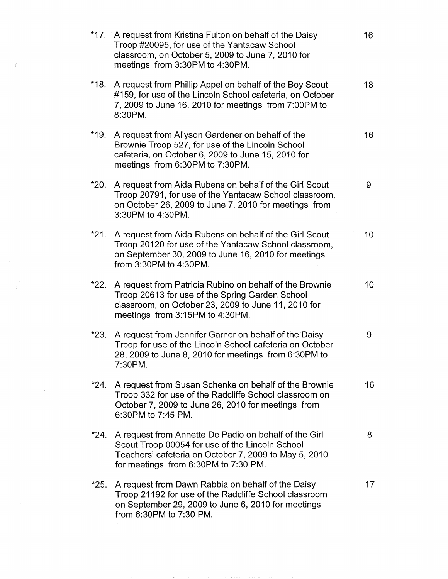| $*17.$ | A request from Kristina Fulton on behalf of the Daisy<br>Troop #20095, for use of the Yantacaw School<br>classroom, on October 5, 2009 to June 7, 2010 for<br>meetings from 3:30PM to 4:30PM.             | 16 |
|--------|-----------------------------------------------------------------------------------------------------------------------------------------------------------------------------------------------------------|----|
| $*18.$ | A request from Phillip Appel on behalf of the Boy Scout<br>#159, for use of the Lincoln School cafeteria, on October<br>7, 2009 to June 16, 2010 for meetings from 7:00PM to<br>8:30PM.                   | 18 |
| $*19.$ | A request from Allyson Gardener on behalf of the<br>Brownie Troop 527, for use of the Lincoln School<br>cafeteria, on October 6, 2009 to June 15, 2010 for<br>meetings from 6:30PM to 7:30PM.             | 16 |
| *20.   | A request from Aida Rubens on behalf of the Girl Scout<br>Troop 20791, for use of the Yantacaw School classroom,<br>on October 26, 2009 to June 7, 2010 for meetings from<br>3:30PM to 4:30PM.            | 9  |
| $*21.$ | A request from Aida Rubens on behalf of the Girl Scout<br>Troop 20120 for use of the Yantacaw School classroom,<br>on September 30, 2009 to June 16, 2010 for meetings<br>from 3:30PM to 4:30PM.          | 10 |
| $*22.$ | A request from Patricia Rubino on behalf of the Brownie<br>Troop 20613 for use of the Spring Garden School<br>classroom, on October 23, 2009 to June 11, 2010 for<br>meetings from 3:15PM to 4:30PM.      | 10 |
| *23.   | A request from Jennifer Garner on behalf of the Daisy<br>Troop for use of the Lincoln School cafeteria on October<br>28, 2009 to June 8, 2010 for meetings from 6:30PM to<br>7:30PM.                      | 9  |
|        | *24. A request from Susan Schenke on behalf of the Brownie<br>Troop 332 for use of the Radcliffe School classroom on<br>October 7, 2009 to June 26, 2010 for meetings from<br>6:30PM to 7:45 PM.          | 16 |
| $*24.$ | A request from Annette De Padio on behalf of the Girl<br>Scout Troop 00054 for use of the Lincoln School<br>Teachers' cafeteria on October 7, 2009 to May 5, 2010<br>for meetings from 6:30PM to 7:30 PM. | 8  |
| $*25.$ | A request from Dawn Rabbia on behalf of the Daisy<br>Troop 21192 for use of the Radcliffe School classroom<br>on September 29, 2009 to June 6, 2010 for meetings<br>from 6:30PM to 7:30 PM.               | 17 |

 $\mathcal{L} = \mathcal{L} \times \mathcal{L}$ 

--- --~-----~ ----~-------------------------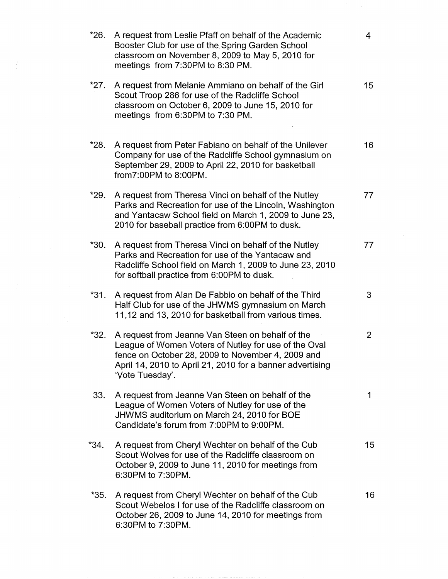| $*26.$ | A request from Leslie Pfaff on behalf of the Academic<br>Booster Club for use of the Spring Garden School<br>classroom on November 8, 2009 to May 5, 2010 for<br>meetings from 7:30PM to 8:30 PM.                                             | 4               |
|--------|-----------------------------------------------------------------------------------------------------------------------------------------------------------------------------------------------------------------------------------------------|-----------------|
| $*27.$ | A request from Melanie Ammiano on behalf of the Girl<br>Scout Troop 286 for use of the Radcliffe School<br>classroom on October 6, 2009 to June 15, 2010 for<br>meetings from 6:30PM to 7:30 PM.                                              | 15 <sub>1</sub> |
| *28.   | A request from Peter Fabiano on behalf of the Unilever<br>Company for use of the Radcliffe School gymnasium on<br>September 29, 2009 to April 22, 2010 for basketball<br>from7:00PM to 8:00PM.                                                | 16              |
| $*29.$ | A request from Theresa Vinci on behalf of the Nutley<br>Parks and Recreation for use of the Lincoln, Washington<br>and Yantacaw School field on March 1, 2009 to June 23,<br>2010 for baseball practice from 6:00PM to dusk.                  | 77              |
| *30.   | A request from Theresa Vinci on behalf of the Nutley<br>Parks and Recreation for use of the Yantacaw and<br>Radcliffe School field on March 1, 2009 to June 23, 2010<br>for softball practice from 6:00PM to dusk.                            | 77              |
| $*31.$ | A request from Alan De Fabbio on behalf of the Third<br>Half Club for use of the JHWMS gymnasium on March<br>11,12 and 13, 2010 for basketball from various times.                                                                            | 3               |
| $*32.$ | A request from Jeanne Van Steen on behalf of the<br>League of Women Voters of Nutley for use of the Oval<br>fence on October 28, 2009 to November 4, 2009 and<br>April 14, 2010 to April 21, 2010 for a banner advertising<br>'Vote Tuesday'. | $\overline{2}$  |
| 33.    | A request from Jeanne Van Steen on behalf of the<br>League of Women Voters of Nutley for use of the<br>JHWMS auditorium on March 24, 2010 for BOE<br>Candidate's forum from 7:00PM to 9:00PM.                                                 | 1               |
| $*34.$ | A request from Cheryl Wechter on behalf of the Cub<br>Scout Wolves for use of the Radcliffe classroom on<br>October 9, 2009 to June 11, 2010 for meetings from<br>6:30PM to 7:30PM.                                                           | 15 <sub>1</sub> |
| $*35.$ | A request from Cheryl Wechter on behalf of the Cub<br>Scout Webelos I for use of the Radcliffe classroom on<br>October 26, 2009 to June 14, 2010 for meetings from<br>6:30PM to 7:30PM.                                                       | 16              |

-------- ~------------------

 $\int_{\mathbb{R}^d} \left( \frac{1}{\|x\|^{d+1}} \right)^{d+1} \, dx \leq \frac{1}{\|x\|^{d+1}} \, .$ 

 $\frac{1}{2} \frac{1}{2} \frac{1}{2} \frac{1}{2}$